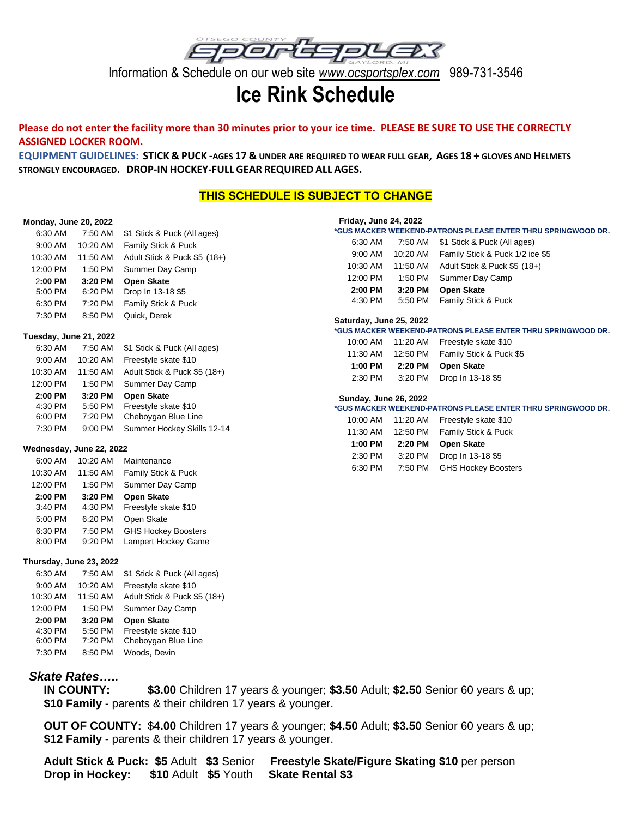

Information & Schedule on our web site *www.ocsportsplex.com* 989-731-3546

# **Ice Rink Schedule**

## **Please do not enter the facility more than 30 minutes prior to your ice time. PLEASE BE SURE TO USE THE CORRECTLY ASSIGNED LOCKER ROOM.**

EQUIPMENT GUIDELINES: STICK & PUCK-AGES 17 & UNDER ARE REQUIRED TO WEAR FULL GEAR, AGES 18 + GLOVES AND HELMETS **STRONGLY ENCOURAGED. DROP-IN HOCKEY-FULL GEAR REQUIRED ALL AGES.**

# **THIS SCHEDULE IS SUBJECT TO CHANGE**

## **Monday, June 20, 2022**

| 6:30 AM                | 7:50 AM              | \$1 Stick & Puck (All ages)  |
|------------------------|----------------------|------------------------------|
| $9:00 \, \text{AM}$    | 10:20 AM             | Family Stick & Puck          |
| 10:30 AM               | 11:50 AM             | Adult Stick & Puck \$5 (18+) |
| 12:00 PM               | 1:50 PM              | Summer Day Camp              |
| 2:00 PM                | 3:20 PM              | <b>Open Skate</b>            |
| 5:00 PM                | 6:20 PM              | Drop In 13-18 \$5            |
| 6:30 PM                | 7:20 PM              | Family Stick & Puck          |
| 7:30 PM                | 8:50 PM              | Quick. Derek                 |
| Tuesday, June 21, 2022 |                      |                              |
| 6:30 AM                | 7:50 AM              | \$1 Stick & Puck (All ages)  |
|                        | $0.00.11$ $10.00.11$ | Escoredo de la finicia (NAO) |

| <b>U.UU AIVI</b> | $1.00$ $\Box$ | <b>VI OLIGN &amp; I GON (AII GGCS)</b> |
|------------------|---------------|----------------------------------------|
| 9:00 AM          | 10:20 AM      | Freestyle skate \$10                   |
| 10:30 AM         | 11:50 AM      | Adult Stick & Puck \$5 (18+)           |
| 12:00 PM         | 1:50 PM       | Summer Day Camp                        |
|                  |               |                                        |
| 2:00 PM          | 3:20 PM       | <b>Open Skate</b>                      |
| 4:30 PM          | 5:50 PM       | Freestyle skate \$10                   |
| 6:00 PM          | 7:20 PM       | Cheboygan Blue Line                    |
| 7:30 PM          | 9:00 PM       | Summer Hockey Skills 12-14             |

## **Wednesday, June 22, 2022**

| 6:00 AM  | 10:20 AM | Maintenance                |
|----------|----------|----------------------------|
| 10:30 AM | 11:50 AM | Family Stick & Puck        |
| 12:00 PM | 1:50 PM  | Summer Day Camp            |
| 2:00 PM  | 3:20 PM  | <b>Open Skate</b>          |
| 3:40 PM  | 4:30 PM  | Freestyle skate \$10       |
| 5:00 PM  | 6:20 PM  | Open Skate                 |
| 6:30 PM  | 7:50 PM  | <b>GHS Hockey Boosters</b> |
| 8:00 PM  | 9:20 PM  | Lampert Hockey Game        |

## **Thursday, June 23, 2022**

| 6:30 AM   | 7:50 AM   | \$1 Stick & Puck (All ages)  |
|-----------|-----------|------------------------------|
| $9:00$ AM | 10:20 AM  | Freestyle skate \$10         |
| 10:30 AM  | 11:50 AM  | Adult Stick & Puck \$5 (18+) |
| 12:00 PM  | $1:50$ PM | Summer Day Camp              |
|           |           |                              |
| 2:00 PM   | 3:20 PM   | <b>Open Skate</b>            |
| 4:30 PM   | 5:50 PM   | Freestyle skate \$10         |
| 6:00 PM   | 7:20 PM   | Cheboygan Blue Line          |
| 7:30 PM   | 8:50 PM   | Woods, Devin                 |

# *Skate Rates…..*

 **IN COUNTY: \$3.00** Children 17 years & younger; **\$3.50** Adult; **\$2.50** Senior 60 years & up;  **\$10 Family** - parents & their children 17 years & younger.

 **OUT OF COUNTY:** \$**4.00** Children 17 years & younger; **\$4.50** Adult; **\$3.50** Senior 60 years & up;  **\$12 Family** - parents & their children 17 years & younger.

 **Adult Stick & Puck: \$5** Adult **\$3** Senior**Freestyle Skate/Figure Skating \$10** per person  **Drop in Hockey: \$10** Adult **\$5** Youth **Skate Rental \$3**

| <b>Friday, June 24, 2022</b> |          |                                                              |
|------------------------------|----------|--------------------------------------------------------------|
|                              |          | *GUS MACKER WEEKEND-PATRONS PLEASE ENTER THRU SPRINGWOOD DR. |
| 6:30 AM                      | 7:50 AM  | \$1 Stick & Puck (All ages)                                  |
| 9:00 AM                      | 10:20 AM | Family Stick & Puck 1/2 ice \$5                              |
| 10:30 AM                     | 11:50 AM | Adult Stick & Puck \$5 (18+)                                 |
| 12:00 PM                     | 1:50 PM  | Summer Day Camp                                              |
| 2:00 PM                      | 3:20 PM  | <b>Open Skate</b>                                            |
| 4:30 PM                      | 5:50 PM  | Family Stick & Puck                                          |
|                              |          |                                                              |

#### **Saturday, June 25, 2022**

#### **\*GUS MACKER WEEKEND-PATRONS PLEASE ENTER THRU SPRINGWOOD DR.**

| 10:00 AM | 11:20 AM | Freestyle skate \$10    |
|----------|----------|-------------------------|
| 11:30 AM | 12:50 PM | Family Stick & Puck \$5 |
| 1:00 PM  | 2:20 PM  | <b>Open Skate</b>       |
| 2:30 PM  | 3:20 PM  | Drop In 13-18 \$5       |

#### **Sunday, June 26, 2022**

| 10:00 AM | 11:20 AM | Freestyle skate \$10       |
|----------|----------|----------------------------|
| 11:30 AM | 12:50 PM | Family Stick & Puck        |
| 1:00 PM  | 2:20 PM  | <b>Open Skate</b>          |
| 2:30 PM  | 3:20 PM  | Drop In 13-18 \$5          |
| 6:30 PM  | 7:50 PM  | <b>GHS Hockey Boosters</b> |
|          |          |                            |